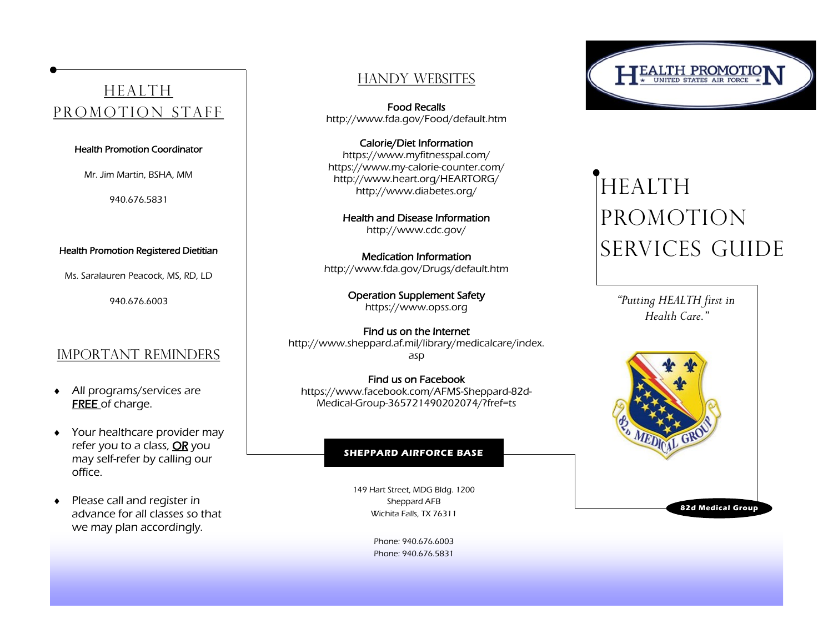## **HEALTH** promotion staff

### Health Promotion Coordinator

Mr. Jim Martin, BSHA, MM

940.676.5831

### Health Promotion Registered Dietitian

Ms. Saralauren Peacock, MS, RD, LD

940.676.6003

### IMPORTANT REMINDERS

- All programs/services are **FREE** of charge.
- Your healthcare provider may refer you to a class, OR you may self-refer by calling our office.
- ◆ Please call and register in advance for all classes so that we may plan accordingly.

### Handy Websites

Food Recalls http://www.fda.gov/Food/default.htm

Calorie/Diet Information https://www.myfitnesspal.com/ https://www.my-calorie-counter.com/ http://www.heart.org/HEARTORG/ http://www.diabetes.org/

Health and Disease Information http://www.cdc.gov/

Medication Information http://www.fda.gov/Drugs/default.htm

> Operation Supplement Safety https://www.opss.org

Find us on the Internet [http://www.sheppard.af.mil/library/medicalcare/index.](http://www.sheppard.af.mil/library/medicalcare/index.asp) [asp](http://www.sheppard.af.mil/library/medicalcare/index.asp)

Find us on Facebook https://www.facebook.com/AFMS-Sheppard-82d-Medical-Group-365721490202074/?fref=ts

### **SHEPPARD AIRFORCE BASE**

149 Hart Street, MDG Bldg. 1200 Sheppard AFB Wichita Falls, TX 76311

> Phone: 940.676.6003 Phone: 940.676.5831

# ALTH PROMOT

## **HEALTH** promotion services guide

*"Putting HEALTH first in Health Care."*